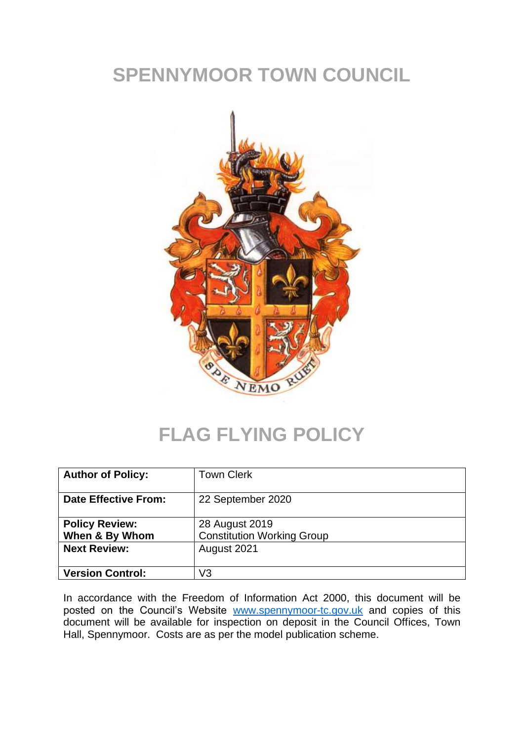# **SPENNYMOOR TOWN COUNCIL**



#### **FLAG FLYING POLICY**

| <b>Author of Policy:</b>                | <b>Town Clerk</b>                                   |
|-----------------------------------------|-----------------------------------------------------|
| <b>Date Effective From:</b>             | 22 September 2020                                   |
| <b>Policy Review:</b><br>When & By Whom | 28 August 2019<br><b>Constitution Working Group</b> |
| <b>Next Review:</b>                     | August 2021                                         |
| <b>Version Control:</b>                 | V3                                                  |

In accordance with the Freedom of Information Act 2000, this document will be posted on the Council's Website [www.spennymoor-tc.gov.uk](http://www.spennymoor-tc.gov.uk/) and copies of this document will be available for inspection on deposit in the Council Offices, Town Hall, Spennymoor. Costs are as per the model publication scheme.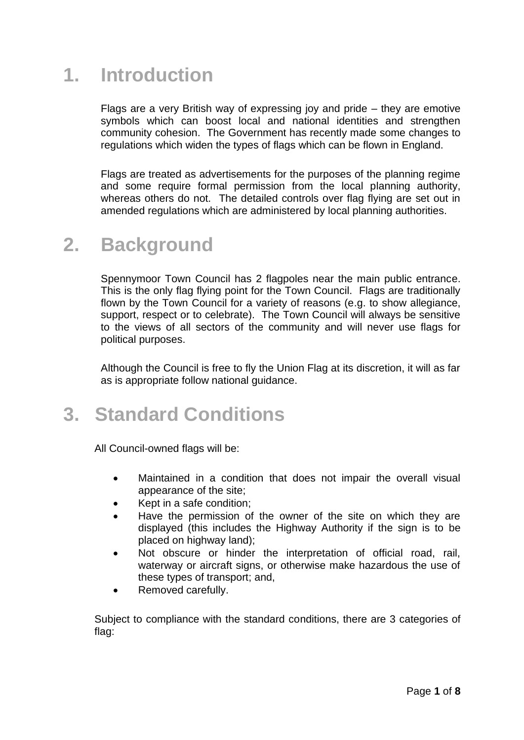### **1. Introduction**

Flags are a very British way of expressing joy and pride – they are emotive symbols which can boost local and national identities and strengthen community cohesion. The Government has recently made some changes to regulations which widen the types of flags which can be flown in England.

Flags are treated as advertisements for the purposes of the planning regime and some require formal permission from the local planning authority, whereas others do not. The detailed controls over flag flying are set out in amended regulations which are administered by local planning authorities.

#### **2. Background**

Spennymoor Town Council has 2 flagpoles near the main public entrance. This is the only flag flying point for the Town Council. Flags are traditionally flown by the Town Council for a variety of reasons (e.g. to show allegiance, support, respect or to celebrate). The Town Council will always be sensitive to the views of all sectors of the community and will never use flags for political purposes.

Although the Council is free to fly the Union Flag at its discretion, it will as far as is appropriate follow national guidance.

## **3. Standard Conditions**

All Council-owned flags will be:

- Maintained in a condition that does not impair the overall visual appearance of the site;
- Kept in a safe condition;
- Have the permission of the owner of the site on which they are displayed (this includes the Highway Authority if the sign is to be placed on highway land);
- Not obscure or hinder the interpretation of official road, rail, waterway or aircraft signs, or otherwise make hazardous the use of these types of transport; and,
- Removed carefully.

Subject to compliance with the standard conditions, there are 3 categories of flag: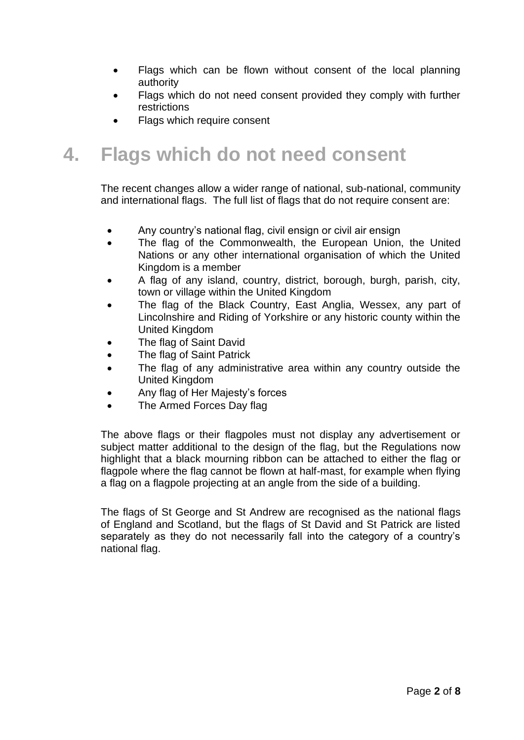- Flags which can be flown without consent of the local planning authority
- Flags which do not need consent provided they comply with further restrictions
- Flags which require consent

## **4. Flags which do not need consent**

The recent changes allow a wider range of national, sub-national, community and international flags. The full list of flags that do not require consent are:

- Any country's national flag, civil ensign or civil air ensign
- The flag of the Commonwealth, the European Union, the United Nations or any other international organisation of which the United Kingdom is a member
- A flag of any island, country, district, borough, burgh, parish, city, town or village within the United Kingdom
- The flag of the Black Country, East Anglia, Wessex, any part of Lincolnshire and Riding of Yorkshire or any historic county within the United Kingdom
- The flag of Saint David
- The flag of Saint Patrick
- The flag of any administrative area within any country outside the United Kingdom
- Any flag of Her Majesty's forces
- The Armed Forces Day flag

The above flags or their flagpoles must not display any advertisement or subject matter additional to the design of the flag, but the Regulations now highlight that a black mourning ribbon can be attached to either the flag or flagpole where the flag cannot be flown at half-mast, for example when flying a flag on a flagpole projecting at an angle from the side of a building.

The flags of St George and St Andrew are recognised as the national flags of England and Scotland, but the flags of St David and St Patrick are listed separately as they do not necessarily fall into the category of a country's national flag.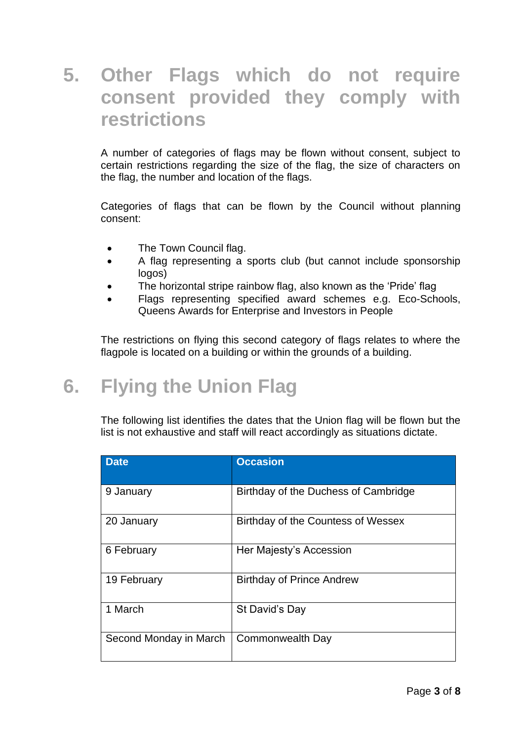#### **5. Other Flags which do not require consent provided they comply with restrictions**

A number of categories of flags may be flown without consent, subject to certain restrictions regarding the size of the flag, the size of characters on the flag, the number and location of the flags.

Categories of flags that can be flown by the Council without planning consent:

- The Town Council flag.
- A flag representing a sports club (but cannot include sponsorship logos)
- The horizontal stripe rainbow flag, also known as the 'Pride' flag
- Flags representing specified award schemes e.g. Eco-Schools, Queens Awards for Enterprise and Investors in People

The restrictions on flying this second category of flags relates to where the flagpole is located on a building or within the grounds of a building.

## **6. Flying the Union Flag**

The following list identifies the dates that the Union flag will be flown but the list is not exhaustive and staff will react accordingly as situations dictate.

| <b>Date</b>            | <b>Occasion</b>                      |
|------------------------|--------------------------------------|
| 9 January              | Birthday of the Duchess of Cambridge |
| 20 January             | Birthday of the Countess of Wessex   |
| 6 February             | Her Majesty's Accession              |
| 19 February            | <b>Birthday of Prince Andrew</b>     |
| 1 March                | St David's Day                       |
| Second Monday in March | Commonwealth Day                     |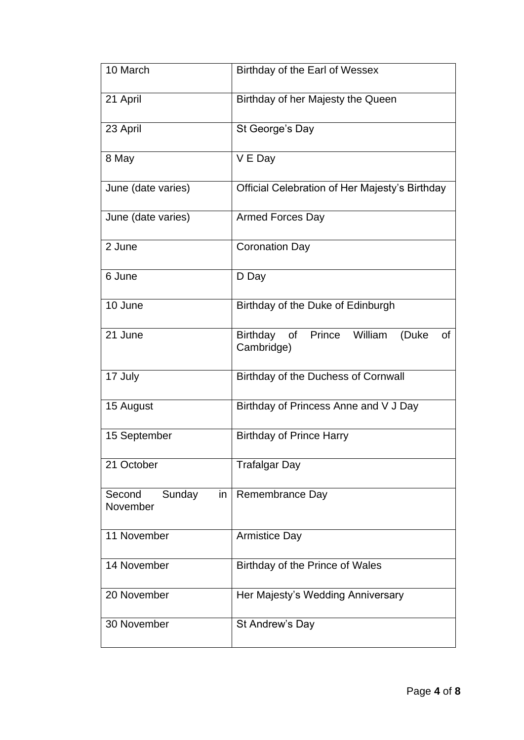| 10 March                           | Birthday of the Earl of Wessex                                 |
|------------------------------------|----------------------------------------------------------------|
| 21 April                           | Birthday of her Majesty the Queen                              |
| 23 April                           | St George's Day                                                |
| 8 May                              | V E Day                                                        |
| June (date varies)                 | Official Celebration of Her Majesty's Birthday                 |
| June (date varies)                 | Armed Forces Day                                               |
| 2 June                             | <b>Coronation Day</b>                                          |
| 6 June                             | D Day                                                          |
| 10 June                            | Birthday of the Duke of Edinburgh                              |
| 21 June                            | Birthday of Prince William<br>(Duke<br><b>of</b><br>Cambridge) |
| 17 July                            | Birthday of the Duchess of Cornwall                            |
| 15 August                          | Birthday of Princess Anne and V J Day                          |
| 15 September                       | <b>Birthday of Prince Harry</b>                                |
| 21 October                         | <b>Trafalgar Day</b>                                           |
| Sunday<br>Second<br>in<br>November | Remembrance Day                                                |
| 11 November                        | <b>Armistice Day</b>                                           |
| 14 November                        | Birthday of the Prince of Wales                                |
| 20 November                        | Her Majesty's Wedding Anniversary                              |
| 30 November                        | St Andrew's Day                                                |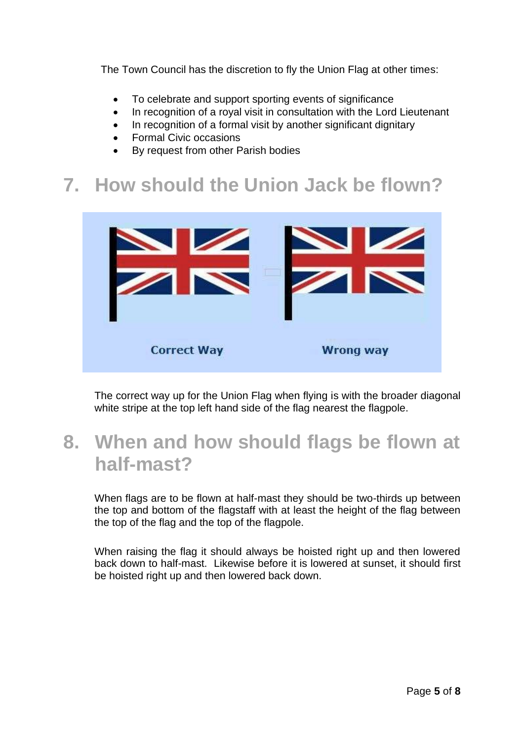The Town Council has the discretion to fly the Union Flag at other times:

- To celebrate and support sporting events of significance
- In recognition of a royal visit in consultation with the Lord Lieutenant
- In recognition of a formal visit by another significant dignitary
- Formal Civic occasions
- By request from other Parish bodies

## **7. How should the Union Jack be flown?**



The correct way up for the Union Flag when flying is with the broader diagonal white stripe at the top left hand side of the flag nearest the flagpole.

### **8. When and how should flags be flown at half-mast?**

When flags are to be flown at half-mast they should be two-thirds up between the top and bottom of the flagstaff with at least the height of the flag between the top of the flag and the top of the flagpole.

When raising the flag it should always be hoisted right up and then lowered back down to half-mast. Likewise before it is lowered at sunset, it should first be hoisted right up and then lowered back down.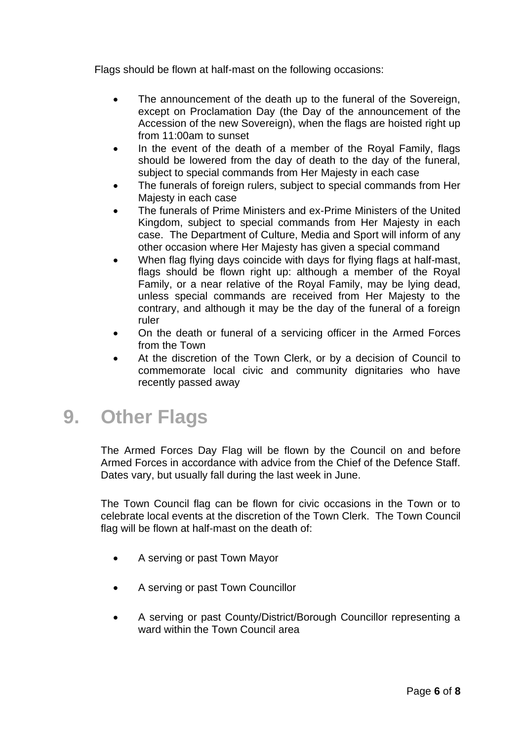Flags should be flown at half-mast on the following occasions:

- The announcement of the death up to the funeral of the Sovereign, except on Proclamation Day (the Day of the announcement of the Accession of the new Sovereign), when the flags are hoisted right up from 11:00am to sunset
- In the event of the death of a member of the Royal Family, flags should be lowered from the day of death to the day of the funeral, subject to special commands from Her Majesty in each case
- The funerals of foreign rulers, subject to special commands from Her Majesty in each case
- The funerals of Prime Ministers and ex-Prime Ministers of the United Kingdom, subject to special commands from Her Majesty in each case. The Department of Culture, Media and Sport will inform of any other occasion where Her Majesty has given a special command
- When flag flying days coincide with days for flying flags at half-mast, flags should be flown right up: although a member of the Royal Family, or a near relative of the Royal Family, may be lying dead, unless special commands are received from Her Majesty to the contrary, and although it may be the day of the funeral of a foreign ruler
- On the death or funeral of a servicing officer in the Armed Forces from the Town
- At the discretion of the Town Clerk, or by a decision of Council to commemorate local civic and community dignitaries who have recently passed away

#### **9. Other Flags**

The Armed Forces Day Flag will be flown by the Council on and before Armed Forces in accordance with advice from the Chief of the Defence Staff. Dates vary, but usually fall during the last week in June.

The Town Council flag can be flown for civic occasions in the Town or to celebrate local events at the discretion of the Town Clerk. The Town Council flag will be flown at half-mast on the death of:

- A serving or past Town Mayor
- A serving or past Town Councillor
- A serving or past County/District/Borough Councillor representing a ward within the Town Council area